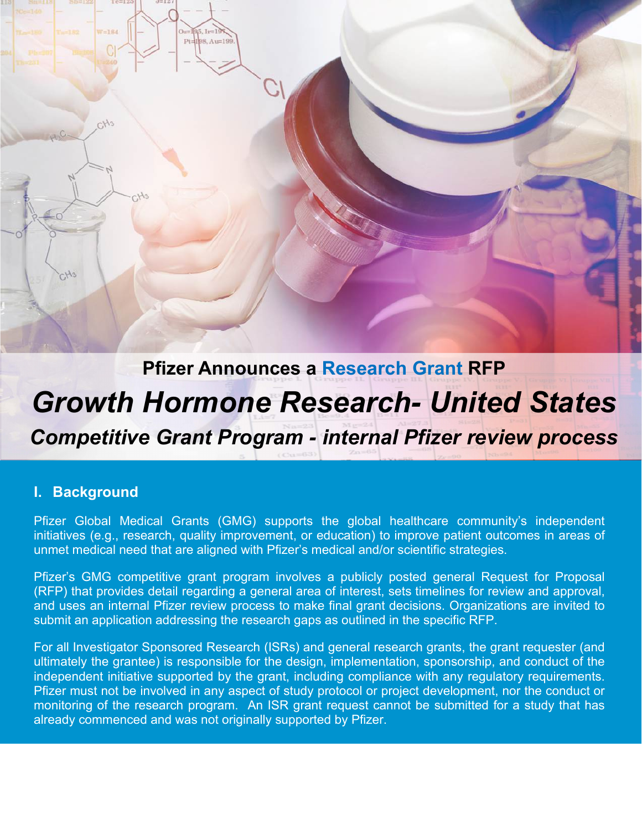# **Pfizer Announces a Research Grant RFP** *Growth Hormone Research- United States*

 $85.11 = 1$ Pt=198, Au=19

*Competitive Grant Program - internal Pfizer review process*

### **I. Background**

Pfizer Global Medical Grants (GMG) supports the global healthcare community's independent initiatives (e.g., research, quality improvement, or education) to improve patient outcomes in areas of unmet medical need that are aligned with Pfizer's medical and/or scientific strategies.

Pfizer's GMG competitive grant program involves a publicly posted general Request for Proposal (RFP) that provides detail regarding a general area of interest, sets timelines for review and approval, and uses an internal Pfizer review process to make final grant decisions. Organizations are invited to submit an application addressing the research gaps as outlined in the specific RFP.

For all Investigator Sponsored Research (ISRs) and general research grants, the grant requester (and ultimately the grantee) is responsible for the design, implementation, sponsorship, and conduct of the independent initiative supported by the grant, including compliance with any regulatory requirements. Pfizer must not be involved in any aspect of study protocol or project development, nor the conduct or monitoring of the research program. An ISR grant request cannot be submitted for a study that has already commenced and was not originally supported by Pfizer.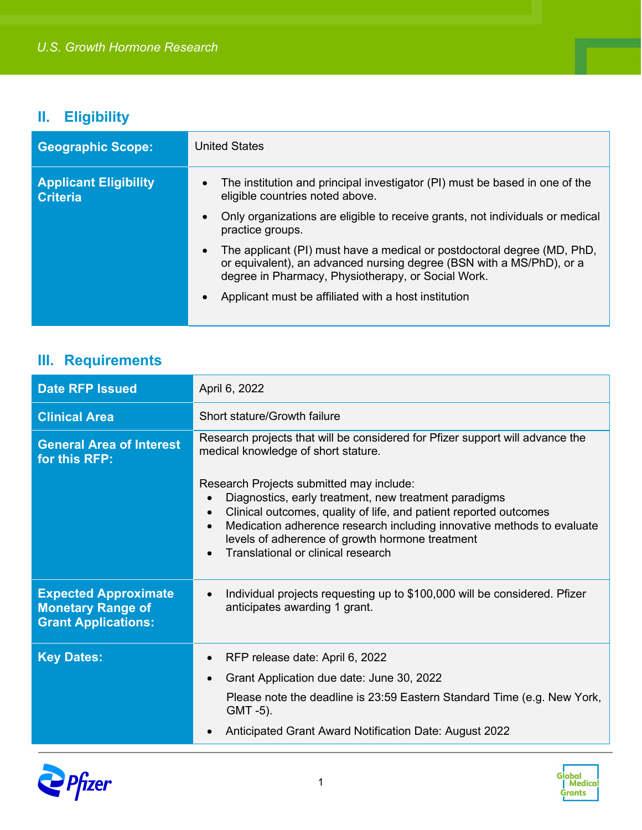## **II. Eligibility**

| <b>Geographic Scope:</b>                        | <b>United States</b>                                                                                                                                                                                  |
|-------------------------------------------------|-------------------------------------------------------------------------------------------------------------------------------------------------------------------------------------------------------|
| <b>Applicant Eligibility</b><br><b>Criteria</b> | The institution and principal investigator (PI) must be based in one of the<br>$\bullet$<br>eligible countries noted above.                                                                           |
|                                                 | Only organizations are eligible to receive grants, not individuals or medical<br>practice groups.                                                                                                     |
|                                                 | The applicant (PI) must have a medical or postdoctoral degree (MD, PhD,<br>or equivalent), an advanced nursing degree (BSN with a MS/PhD), or a<br>degree in Pharmacy, Physiotherapy, or Social Work. |
|                                                 | Applicant must be affiliated with a host institution                                                                                                                                                  |

## **III. Requirements**

| <b>Date RFP Issued</b>                                                                | April 6, 2022                                                                                                                                                                                                                                                                                                                             |
|---------------------------------------------------------------------------------------|-------------------------------------------------------------------------------------------------------------------------------------------------------------------------------------------------------------------------------------------------------------------------------------------------------------------------------------------|
| <b>Clinical Area</b>                                                                  | Short stature/Growth failure                                                                                                                                                                                                                                                                                                              |
| <b>General Area of Interest</b><br>for this RFP:                                      | Research projects that will be considered for Pfizer support will advance the<br>medical knowledge of short stature.                                                                                                                                                                                                                      |
|                                                                                       | Research Projects submitted may include:<br>Diagnostics, early treatment, new treatment paradigms<br>Clinical outcomes, quality of life, and patient reported outcomes<br>Medication adherence research including innovative methods to evaluate<br>levels of adherence of growth hormone treatment<br>Translational or clinical research |
| <b>Expected Approximate</b><br><b>Monetary Range of</b><br><b>Grant Applications:</b> | Individual projects requesting up to \$100,000 will be considered. Pfizer<br>anticipates awarding 1 grant.                                                                                                                                                                                                                                |
| <b>Key Dates:</b>                                                                     | RFP release date: April 6, 2022                                                                                                                                                                                                                                                                                                           |
|                                                                                       | Grant Application due date: June 30, 2022                                                                                                                                                                                                                                                                                                 |
|                                                                                       | Please note the deadline is 23:59 Eastern Standard Time (e.g. New York,<br>GMT -5).                                                                                                                                                                                                                                                       |
|                                                                                       | Anticipated Grant Award Notification Date: August 2022                                                                                                                                                                                                                                                                                    |



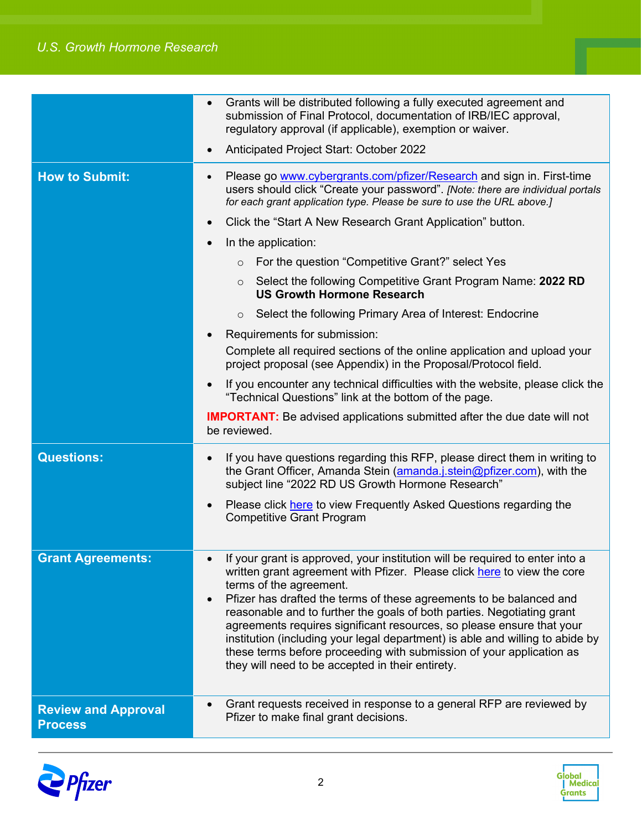|                                              | Grants will be distributed following a fully executed agreement and<br>submission of Final Protocol, documentation of IRB/IEC approval,<br>regulatory approval (if applicable), exemption or waiver.<br>Anticipated Project Start: October 2022                                                                                                                                                                                                                                                                                                                                                                             |
|----------------------------------------------|-----------------------------------------------------------------------------------------------------------------------------------------------------------------------------------------------------------------------------------------------------------------------------------------------------------------------------------------------------------------------------------------------------------------------------------------------------------------------------------------------------------------------------------------------------------------------------------------------------------------------------|
| <b>How to Submit:</b>                        | Please go www.cybergrants.com/pfizer/Research and sign in. First-time<br>users should click "Create your password". [Note: there are individual portals<br>for each grant application type. Please be sure to use the URL above.]                                                                                                                                                                                                                                                                                                                                                                                           |
|                                              | Click the "Start A New Research Grant Application" button.                                                                                                                                                                                                                                                                                                                                                                                                                                                                                                                                                                  |
|                                              | In the application:                                                                                                                                                                                                                                                                                                                                                                                                                                                                                                                                                                                                         |
|                                              | For the question "Competitive Grant?" select Yes<br>$\circ$                                                                                                                                                                                                                                                                                                                                                                                                                                                                                                                                                                 |
|                                              | Select the following Competitive Grant Program Name: 2022 RD<br>$\circ$<br><b>US Growth Hormone Research</b>                                                                                                                                                                                                                                                                                                                                                                                                                                                                                                                |
|                                              | Select the following Primary Area of Interest: Endocrine<br>$\circ$                                                                                                                                                                                                                                                                                                                                                                                                                                                                                                                                                         |
|                                              | Requirements for submission:                                                                                                                                                                                                                                                                                                                                                                                                                                                                                                                                                                                                |
|                                              | Complete all required sections of the online application and upload your<br>project proposal (see Appendix) in the Proposal/Protocol field.                                                                                                                                                                                                                                                                                                                                                                                                                                                                                 |
|                                              | If you encounter any technical difficulties with the website, please click the<br>"Technical Questions" link at the bottom of the page.                                                                                                                                                                                                                                                                                                                                                                                                                                                                                     |
|                                              | <b>IMPORTANT:</b> Be advised applications submitted after the due date will not<br>be reviewed.                                                                                                                                                                                                                                                                                                                                                                                                                                                                                                                             |
| <b>Questions:</b>                            | If you have questions regarding this RFP, please direct them in writing to<br>$\bullet$<br>the Grant Officer, Amanda Stein (amanda.j.stein@pfizer.com), with the<br>subject line "2022 RD US Growth Hormone Research"                                                                                                                                                                                                                                                                                                                                                                                                       |
|                                              | Please click here to view Frequently Asked Questions regarding the<br><b>Competitive Grant Program</b>                                                                                                                                                                                                                                                                                                                                                                                                                                                                                                                      |
| <b>Grant Agreements:</b>                     | • If your grant is approved, your institution will be required to enter into a<br>written grant agreement with Pfizer. Please click here to view the core<br>terms of the agreement.<br>Pfizer has drafted the terms of these agreements to be balanced and<br>reasonable and to further the goals of both parties. Negotiating grant<br>agreements requires significant resources, so please ensure that your<br>institution (including your legal department) is able and willing to abide by<br>these terms before proceeding with submission of your application as<br>they will need to be accepted in their entirety. |
| <b>Review and Approval</b><br><b>Process</b> | Grant requests received in response to a general RFP are reviewed by<br>Pfizer to make final grant decisions.                                                                                                                                                                                                                                                                                                                                                                                                                                                                                                               |



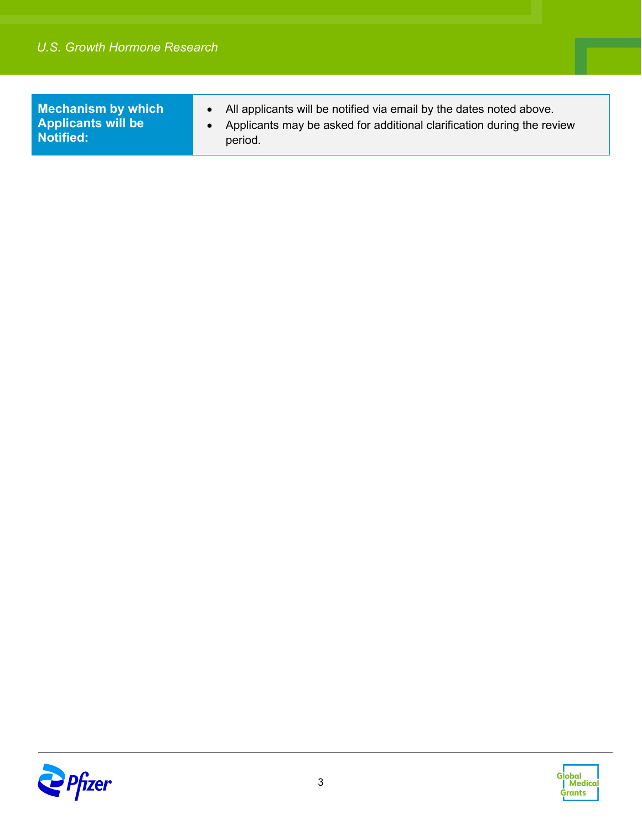**Mechanism by which Applicants will be Notified:**

- All applicants will be notified via email by the dates noted above.
- Applicants may be asked for additional clarification during the review period.



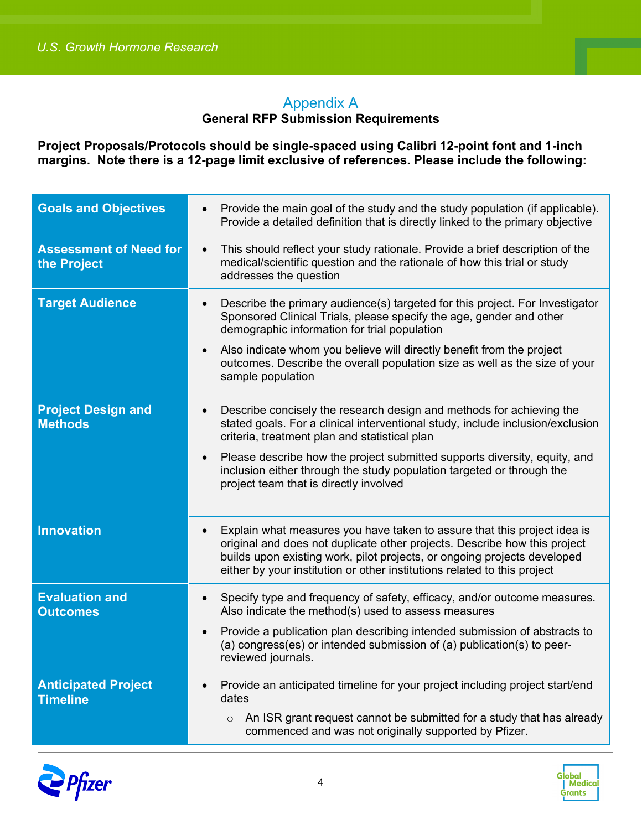## Appendix A

#### **General RFP Submission Requirements**

**Project Proposals/Protocols should be single-spaced using Calibri 12-point font and 1-inch margins. Note there is a 12-page limit exclusive of references. Please include the following:**

| <b>Goals and Objectives</b>                   | Provide the main goal of the study and the study population (if applicable).<br>$\bullet$<br>Provide a detailed definition that is directly linked to the primary objective                                                                                                                                                                                                                                                       |
|-----------------------------------------------|-----------------------------------------------------------------------------------------------------------------------------------------------------------------------------------------------------------------------------------------------------------------------------------------------------------------------------------------------------------------------------------------------------------------------------------|
| <b>Assessment of Need for</b><br>the Project  | This should reflect your study rationale. Provide a brief description of the<br>$\bullet$<br>medical/scientific question and the rationale of how this trial or study<br>addresses the question                                                                                                                                                                                                                                   |
| <b>Target Audience</b>                        | Describe the primary audience(s) targeted for this project. For Investigator<br>$\bullet$<br>Sponsored Clinical Trials, please specify the age, gender and other<br>demographic information for trial population<br>Also indicate whom you believe will directly benefit from the project<br>outcomes. Describe the overall population size as well as the size of your<br>sample population                                      |
| <b>Project Design and</b><br><b>Methods</b>   | Describe concisely the research design and methods for achieving the<br>$\bullet$<br>stated goals. For a clinical interventional study, include inclusion/exclusion<br>criteria, treatment plan and statistical plan<br>Please describe how the project submitted supports diversity, equity, and<br>$\bullet$<br>inclusion either through the study population targeted or through the<br>project team that is directly involved |
| <b>Innovation</b>                             | Explain what measures you have taken to assure that this project idea is<br>original and does not duplicate other projects. Describe how this project<br>builds upon existing work, pilot projects, or ongoing projects developed<br>either by your institution or other institutions related to this project                                                                                                                     |
| <b>Evaluation and</b><br><b>Outcomes</b>      | Specify type and frequency of safety, efficacy, and/or outcome measures.<br>Also indicate the method(s) used to assess measures<br>Provide a publication plan describing intended submission of abstracts to<br>$\bullet$<br>(a) congress(es) or intended submission of (a) publication(s) to peer-<br>reviewed journals.                                                                                                         |
| <b>Anticipated Project</b><br><b>Timeline</b> | Provide an anticipated timeline for your project including project start/end<br>$\bullet$<br>dates<br>An ISR grant request cannot be submitted for a study that has already<br>$\circ$<br>commenced and was not originally supported by Pfizer.                                                                                                                                                                                   |